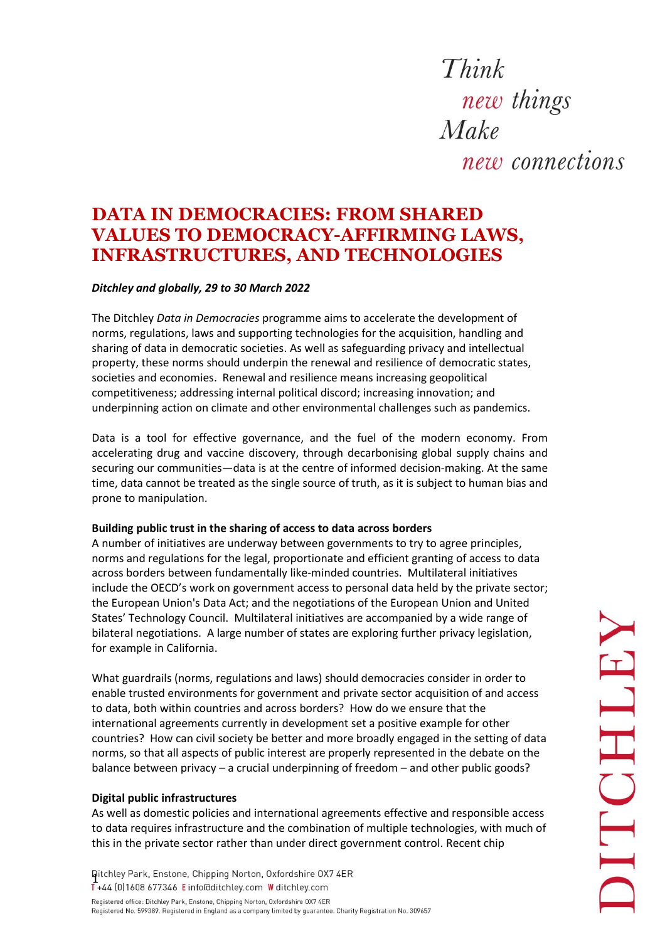Think new things  $Make$ new connections

# **DATA IN DEMOCRACIES: FROM SHARED VALUES TO DEMOCRACY-AFFIRMING LAWS, INFRASTRUCTURES, AND TECHNOLOGIES**

# *Ditchley and globally, 29 to 30 March 2022*

The Ditchley *Data in Democracies* programme aims to accelerate the development of norms, regulations, laws and supporting technologies for the acquisition, handling and sharing of data in democratic societies. As well as safeguarding privacy and intellectual property, these norms should underpin the renewal and resilience of democratic states, societies and economies. Renewal and resilience means increasing geopolitical competitiveness; addressing internal political discord; increasing innovation; and underpinning action on climate and other environmental challenges such as pandemics.

Data is a tool for effective governance, and the fuel of the modern economy. From accelerating drug and vaccine discovery, through decarbonising global supply chains and securing our communities—data is at the centre of informed decision-making. At the same time, data cannot be treated as the single source of truth, as it is subject to human bias and prone to manipulation.

### **Building public trust in the sharing of access to data across borders**

A number of initiatives are underway between governments to try to agree principles, norms and regulations for the legal, proportionate and efficient granting of access to data across borders between fundamentally like-minded countries. Multilateral initiatives include the OECD's work on government access to personal data held by the private sector; the European Union's Data Act; and the negotiations of the European Union and United States' Technology Council. Multilateral initiatives are accompanied by a wide range of bilateral negotiations. A large number of states are exploring further privacy legislation, for example in California.

What guardrails (norms, regulations and laws) should democracies consider in order to enable trusted environments for government and private sector acquisition of and access to data, both within countries and across borders? How do we ensure that the international agreements currently in development set a positive example for other countries? How can civil society be better and more broadly engaged in the setting of data norms, so that all aspects of public interest are properly represented in the debate on the balance between privacy – a crucial underpinning of freedom – and other public goods?

### **Digital public infrastructures**

As well as domestic policies and international agreements effective and responsible access to data requires infrastructure and the combination of multiple technologies, with much of this in the private sector rather than under direct government control. Recent chip

Qitchley Park, Enstone, Chipping Norton, Oxfordshire OX7 4ER<br>1+44 (0)1608 677346 Einfo@ditchley.com W ditchley.com Registered office: Ditchley Park, Enstone, Chipping Norton, Oxfordshire OX7 4ER Registered No. 599389. Registered in England as a company limited by guarantee. Charity Registration No. 309657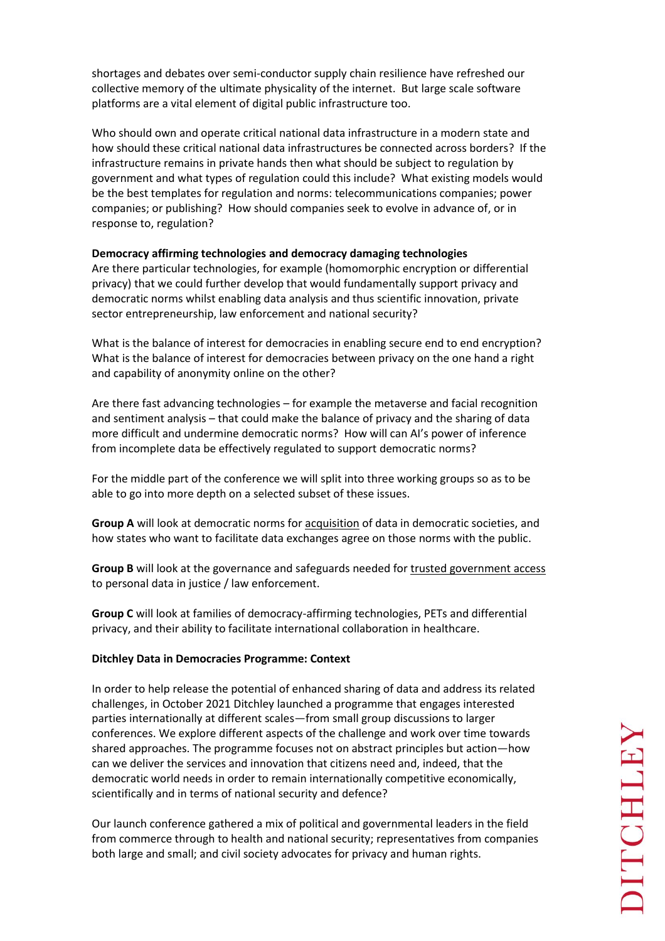shortages and debates over semi-conductor supply chain resilience have refreshed our collective memory of the ultimate physicality of the internet. But large scale software platforms are a vital element of digital public infrastructure too.

Who should own and operate critical national data infrastructure in a modern state and how should these critical national data infrastructures be connected across borders? If the infrastructure remains in private hands then what should be subject to regulation by government and what types of regulation could this include? What existing models would be the best templates for regulation and norms: telecommunications companies; power companies; or publishing? How should companies seek to evolve in advance of, or in response to, regulation?

# **Democracy affirming technologies and democracy damaging technologies**

Are there particular technologies, for example (homomorphic encryption or differential privacy) that we could further develop that would fundamentally support privacy and democratic norms whilst enabling data analysis and thus scientific innovation, private sector entrepreneurship, law enforcement and national security?

What is the balance of interest for democracies in enabling secure end to end encryption? What is the balance of interest for democracies between privacy on the one hand a right and capability of anonymity online on the other?

Are there fast advancing technologies – for example the metaverse and facial recognition and sentiment analysis – that could make the balance of privacy and the sharing of data more difficult and undermine democratic norms? How will can AI's power of inference from incomplete data be effectively regulated to support democratic norms?

For the middle part of the conference we will split into three working groups so as to be able to go into more depth on a selected subset of these issues.

**Group A** will look at democratic norms for acquisition of data in democratic societies, and how states who want to facilitate data exchanges agree on those norms with the public.

**Group B** will look at the governance and safeguards needed for trusted government access to personal data in justice / law enforcement.

**Group C** will look at families of democracy-affirming technologies, PETs and differential privacy, and their ability to facilitate international collaboration in healthcare.

### **Ditchley Data in Democracies Programme: Context**

In order to help release the potential of enhanced sharing of data and address its related challenges, in October 2021 Ditchley launched a programme that engages interested parties internationally at different scales—from small group discussions to larger conferences. We explore different aspects of the challenge and work over time towards shared approaches. The programme focuses not on abstract principles but action—how can we deliver the services and innovation that citizens need and, indeed, that the democratic world needs in order to remain internationally competitive economically, scientifically and in terms of national security and defence?

Our launch conference gathered a mix of political and governmental leaders in the field from commerce through to health and national security; representatives from companies both large and small; and civil society advocates for privacy and human rights.